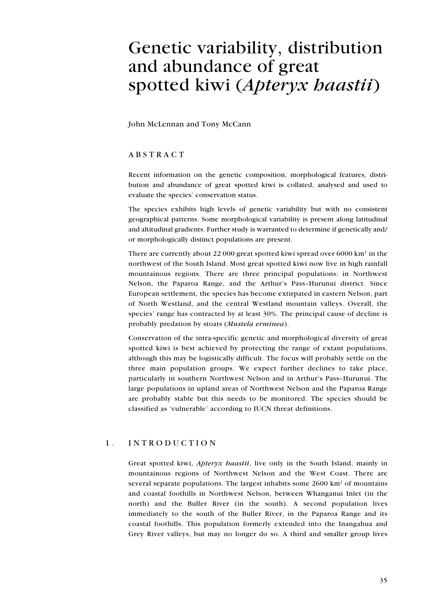# Genetic variability, distribution and abundance of great spotted kiwi (Apteryx haastii)

John McLennan and Tony McCann

# ABSTRACT

Recent information on the genetic composition, morphological features, distribution and abundance of great spotted kiwi is collated, analysed and used to evaluate the species' conservation status.

The species exhibits high levels of genetic variability but with no consistent geographical patterns. Some morphological variability is present along latitudinal and altitudinal gradients. Further study is warranted to determine if genetically and/ or morphologically distinct populations are present.

There are currently about 22 000 great spotted kiwi spread over  $6000 \text{ km}^2$  in the northwest of the South Island. Most great spotted kiwi now live in high rainfall mountainous regions. There are three principal populations: in Northwest Nelson, the Paparoa Range, and the Arthur's Pass–Hurunui district. Since European settlement, the species has become extirpated in eastern Nelson, part of North Westland, and the central Westland mountain valleys. Overall, the species' range has contracted by at least 30%. The principal cause of decline is probably predation by stoats (Mustela erminea).

Conservation of the intra-specific genetic and morphological diversity of great spotted kiwi is best achieved by protecting the range of extant populations, although this may be logistically difficult. The focus will probably settle on the three main population groups. We expect further declines to take place, particularly in southern Northwest Nelson and in Arthur's Pass–Hurunui. The large populations in upland areas of Northwest Nelson and the Paparoa Range are probably stable but this needs to be monitored. The species should be classified as 'vulnerable' according to IUCN threat definitions.

# 1. INTRODUCTION

Great spotted kiwi, Apteryx haastii, live only in the South Island, mainly in mountainous regions of Northwest Nelson and the West Coast. There are several separate populations. The largest inhabits some  $2600 \ \mathrm{km^2}$  of mountains and coastal foothills in Northwest Nelson, between Whanganui Inlet (in the north) and the Buller River (in the south). A second population lives immediately to the south of the Buller River, in the Paparoa Range and its coastal foothills. This population formerly extended into the Inangahua and Grey River valleys, but may no longer do so. A third and smaller group lives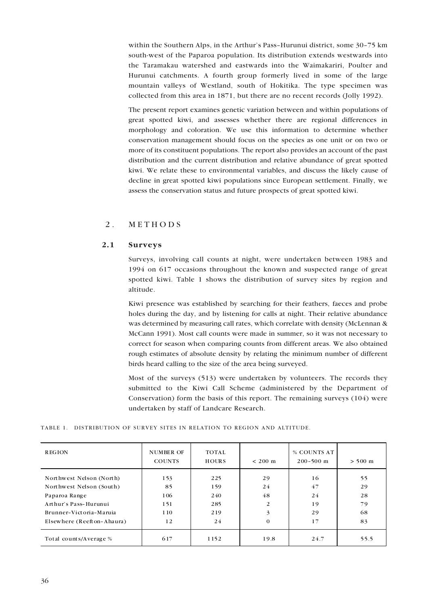within the Southern Alps, in the Arthur's Pass–Hurunui district, some  $30-75$  km south-west of the Paparoa population. Its distribution extends westwards into the Taramakau watershed and eastwards into the Waimakariri, Poulter and Hurunui catchments. A fourth group formerly lived in some of the large mountain valleys of Westland, south of Hokitika. The type specimen was collected from this area in 1871, but there are no recent records (Jolly 1992).

The present report examines genetic variation between and within populations of great spotted kiwi, and assesses whether there are regional differences in morphology and coloration. We use this information to determine whether conservation management should focus on the species as one unit or on two or more of its constituent populations. The report also provides an account of the past distribution and the current distribution and relative abundance of great spotted kiwi. We relate these to environmental variables, and discuss the likely cause of decline in great spotted kiwi populations since European settlement. Finally, we assess the conservation status and future prospects of great spotted kiwi.

# 2. METHODS

## **2.1 Surveys**

Surveys, involving call counts at night, were undertaken between 1983 and 1994 on 617 occasions throughout the known and suspected range of great spotted kiwi. Table 1 shows the distribution of survey sites by region and altitude.

Kiwi presence was established by searching for their feathers, faeces and probe holes during the day, and by listening for calls at night. Their relative abundance was determined by measuring call rates, which correlate with density (McLennan & McCann 1991). Most call counts were made in summer, so it was not necessary to correct for season when comparing counts from different areas. We also obtained rough estimates of absolute density by relating the minimum number of different birds heard calling to the size of the area being surveyed.

Most of the surveys (513) were undertaken by volunteers. The records they submitted to the Kiwi Call Scheme (administered by the Department of Conservation) form the basis of this report. The remaining surveys (104) were undertaken by staff of Landcare Research.

TABLE 1. DISTRIBUTION OF SURVEY SITES IN RELATION TO REGION AND ALTITUDE.

| <b>REGION</b>              | <b>NUMBER OF</b><br><b>COUNTS</b> | TOTAL<br><b>HOURS</b> | $< 200 \text{ m}$ | % COUNTS AT<br>$200 - 500$ m | $> 500 \text{ m}$ |
|----------------------------|-----------------------------------|-----------------------|-------------------|------------------------------|-------------------|
| Northwest Nelson (North)   | 153                               | 225                   | 29                | 16                           | 55                |
| Northwest Nelson (South)   | 85                                | 159                   | 24                | 47                           | 29                |
| Paparoa Range              | 106                               | 240                   | 48                | 24                           | 28                |
| Arthur's Pass-Hurunui      | 151                               | 285                   | $\overline{2}$    | 19                           | 79                |
| Brunner-Victoria-Maruja    | 110                               | 219                   | 3                 | 29                           | 68                |
| Elsewhere (Reefton-Ahaura) | 12                                | 24                    | $\Omega$          | 17                           | 83                |
| Total counts/Average %     | 617                               | 1152                  | 19.8              | 24.7                         | 55.5              |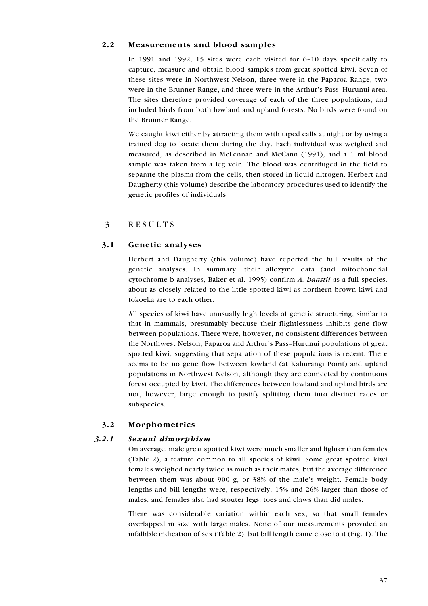# 2.2 Measurements and blood samples

In 1991 and 1992, 15 sites were each visited for 6–10 days specifically to capture, measure and obtain blood samples from great spotted kiwi. Seven of these sites were in Northwest Nelson, three were in the Paparoa Range, two were in the Brunner Range, and three were in the Arthur's Pass–Hurunui area. The sites therefore provided coverage of each of the three populations, and included birds from both lowland and upland forests. No birds were found on the Brunner Range.

We caught kiwi either by attracting them with taped calls at night or by using a trained dog to locate them during the day. Each individual was weighed and measured, as described in McLennan and McCann (1991), and a 1 ml blood sample was taken from a leg vein. The blood was centrifuged in the field to separate the plasma from the cells, then stored in liquid nitrogen. Herbert and Daugherty (this volume) describe the laboratory procedures used to identify the genetic profiles of individuals.

# 3. RESULTS

# 3.1 Genetic analyses

Herbert and Daugherty (this volume) have reported the full results of the genetic analyses. In summary, their allozyme data (and mitochondrial cytochrome b analyses, Baker et al. 1995) confirm A. haastii as a full species, about as closely related to the little spotted kiwi as northern brown kiwi and tokoeka are to each other.

All species of kiwi have unusually high levels of genetic structuring, similar to that in mammals, presumably because their flightlessness inhibits gene flow between populations. There were, however, no consistent differences between the Northwest Nelson, Paparoa and Arthur's Pass–Hurunui populations of great spotted kiwi, suggesting that separation of these populations is recent. There seems to be no gene flow between lowland (at Kahurangi Point) and upland populations in Northwest Nelson, although they are connected by continuous forest occupied by kiwi. The differences between lowland and upland birds are not, however, large enough to justify splitting them into distinct races or subspecies.

# 3.2 Morphometrics

# 3.2.1 Sexual dimorphism

On average, male great spotted kiwi were much smaller and lighter than females (Table 2), a feature common to all species of kiwi. Some great spotted kiwi females weighed nearly twice as much as their mates, but the average difference between them was about 900 g, or 38% of the male's weight. Female body lengths and bill lengths were, respectively, 15% and 26% larger than those of males; and females also had stouter legs, toes and claws than did males.

There was considerable variation within each sex, so that small females overlapped in size with large males. None of our measurements provided an infallible indication of sex (Table 2), but bill length came close to it (Fig. 1). The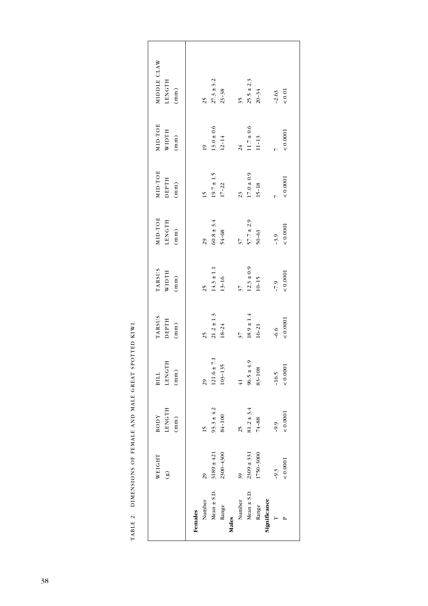| Mean $\pm$ S.D.<br>Number<br>Range<br>Females | $3189 \pm 421$<br>WEIGHT<br>$\left( \frac{3}{2} \right)$<br>29 | $93.3 \pm 4.2$<br><b>LENGTH</b><br>BODY<br>(mm) | $121.6 \pm 7.1$<br><b>LENGTH</b><br>$(\texttt{mm})$<br><b>BILL</b><br>29 | $21.2 \pm 1.3$<br>TARSUS<br><b>DEPTH</b><br>$(\mathrm{mm})$<br>25 | TARSUS<br>$14.3 \pm 1.1$<br>$\mathbf W$ IDTH<br>$(\text{mm})$<br>25 | MID-TOE<br>LENGTH<br>$60.8 \pm 3.4$<br>(mm)<br>29 | MID-TOE<br>$19.7 \pm 1.5$<br><b>DEPTH</b><br>$(\mathrm{mm})$<br>15 | MID-TOE<br>$13.0\pm0.6$<br>WIDTH<br>$(\texttt{mm})$<br>19 | MIDDLE CLAW<br>$27.3 \pm 3.2$<br>LENGTH<br>(mm)<br>25 |
|-----------------------------------------------|----------------------------------------------------------------|-------------------------------------------------|--------------------------------------------------------------------------|-------------------------------------------------------------------|---------------------------------------------------------------------|---------------------------------------------------|--------------------------------------------------------------------|-----------------------------------------------------------|-------------------------------------------------------|
| Mean $\pm$ S.D.<br>Number<br>Range            | 2300-4300<br>$2309 \pm 331$<br>$1750 - 3000$<br>39             | $81.2 \pm 3.4$<br>84-100<br>74-88<br>25         | $96.5 \pm 4.9$<br>$103 - 135$<br>83-108<br>$\overline{41}$               | $18.9 \pm 1.4$<br>$18 - 24$<br>$16 - 21$<br>$\overline{37}$       | $12.3 \pm 0.9$<br>10-15<br>$13 - 16$                                | $37$<br>$57.7 \pm 2.9$<br>$50-63$<br>$54 - 68$    | $17.0\pm0.9$<br>$15 - 18$<br>$17 - 22$<br>23                       | $11.7\pm0.6$<br>$12 - 14$<br>$11 - 13$<br>24              | $25.5 \pm 2.3$<br>$20-34$<br>$23 - 38$<br>35          |
| Significance                                  | < 0.0001<br>$-9.3$                                             | 0.0001<br>$-9.9$                                | ${}_{0.0001}$<br>$-16.5$                                                 | 0.0001<br>$-6.6$                                                  | 0.0001<br>$6.2 -$                                                   | 0.0001<br>$-3.9$                                  | < 0.0001                                                           | < 0.0001                                                  | ${}_{0.01}$<br>$-2.63$                                |

TABLE 2. DIMENSIONS OF FEMALE AND MALE GREAT SPOTTED KIWI. TABLE 2. DIMENSIONS OF FEMALE AND MALE GREAT SPOTTED KIWI.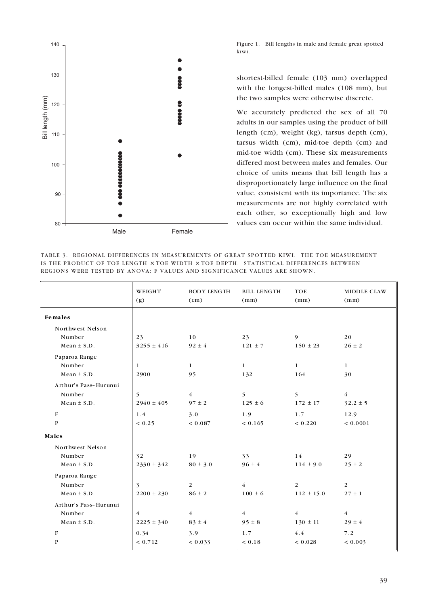

Figure 1. Bill lengths in male and female great spotted kiwi.

shortest-billed female (103 mm) overlapped with the longest-billed males (108 mm), but the two samples were otherwise discrete.

We accurately predicted the sex of all 70 adults in our samples using the product of bill length (cm), weight (kg), tarsus depth (cm), tarsus width (cm), mid-toe depth (cm) and mid-toe width (cm). These six measurements differed most between males and females. Our choice of units means that bill length has a disproportionately large influence on the final value, consistent with its importance. The six measurements are not highly correlated with each other, so exceptionally high and low values can occur within the same individual.

TABLE 3. REGIONAL DIFFERENCES IN MEASUREMENTS OF GREAT SPOTTED KIWI. THE TOE MEASUREMENT IS THE PRODUCT OF TOE LENGTH  $\times$  TOE WIDTH  $\times$  TOE DEPTH. STATISTICAL DIFFERENCES BETWEEN REGIONS WERE TESTED BY ANOVA: F VALUES AND SIGNIFICANCE VALUES ARE SHOWN.

|                       | WEIGHT<br>(g)  | <b>BODY LENGTH</b><br>(cm) | <b>BILL LENGTH</b><br>(mm) | <b>TOE</b><br>(mm) | <b>MIDDLE CLAW</b><br>(mm) |
|-----------------------|----------------|----------------------------|----------------------------|--------------------|----------------------------|
| Females               |                |                            |                            |                    |                            |
| Northwest Nelson      |                |                            |                            |                    |                            |
| Number                | 23             | 10                         | 23                         | 9                  | 20                         |
| Mean $\pm$ S.D.       | $3255 \pm 416$ | $92 \pm 4$                 | $121 \pm 7$                | $150 \pm 23$       | $26 \pm 2$                 |
| Paparoa Range         |                |                            |                            |                    |                            |
| Number                | 1              | $\mathbf{1}$               | $\mathbf{1}$               | $\mathbf{1}$       | $\mathbf{1}$               |
| $Mean \pm S.D.$       | 2900           | 95                         | 132                        | 164                | 30                         |
| Arthur's Pass-Hurunui |                |                            |                            |                    |                            |
| Number                | 5              | $\overline{4}$             | 5                          | 5                  | $\overline{4}$             |
| $Mean \pm S.D.$       | $2940 \pm 405$ | $97 \pm 2$                 | $125 \pm 6$                | $172 \pm 17$       | $32.2 \pm 5$               |
| ${\bf F}$             | 1.4            | 3.0                        | 1.9                        | 1.7                | 12.9                       |
| $\mathbf{P}$          | ${}< 0.25$     | ${}< 0.087$                | < 0.165                    | ${}< 0.220$        | ${}< 0.0001$               |
| Males                 |                |                            |                            |                    |                            |
| Northwest Nelson      |                |                            |                            |                    |                            |
| Number                | 32             | 19                         | 33                         | 14                 | 29                         |
| $Mean \pm S.D.$       | $2330 \pm 342$ | $80 \pm 3.0$               | $96 \pm 4$                 | $114 \pm 9.0$      | $25 \pm 2$                 |
| Paparoa Range         |                |                            |                            |                    |                            |
| Number                | 3              | 2                          | $\overline{4}$             | 2                  | $\overline{2}$             |
| Mean $\pm$ S.D.       | $2200 \pm 230$ | $86 \pm 2$                 | $100 \pm 6$                | $112 \pm 15.0$     | $27 \pm 1$                 |
| Arthur's Pass-Hurunui |                |                            |                            |                    |                            |
| Number                | $\overline{4}$ | $\overline{4}$             | $\overline{4}$             | $\overline{4}$     | $\overline{4}$             |
| $Mean \pm S.D.$       | $2225 \pm 340$ | $83 \pm 4$                 | $95 \pm 8$                 | $130 \pm 11$       | $29\pm4$                   |
| F                     | 0.34           | 3.9                        | 1.7                        | 4.4                | 7.2                        |
| P                     | ${}< 0.712$    | < 0.033                    | ${}< 0.18$                 | ${}< 0.028$        | ${}< 0.003$                |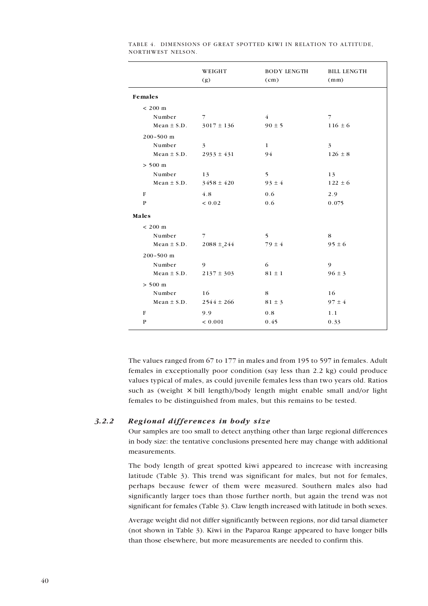|                   | WEIGHT<br>(g)  | <b>BODY LENGTH</b><br>(cm) | <b>BILL LENGTH</b><br>(mm) |
|-------------------|----------------|----------------------------|----------------------------|
| Females           |                |                            |                            |
| $< 200 \text{ m}$ |                |                            |                            |
| Number            | $\overline{7}$ | $\overline{4}$             | $\overline{7}$             |
| Mean $\pm$ S.D.   | $3017 \pm 136$ | $90 \pm 5$                 | $116 \pm 6$                |
| $200 - 500$ m     |                |                            |                            |
| Number            | 3              | $\mathbf{1}$               | $\overline{\mathbf{3}}$    |
| Mean $\pm$ S.D.   | $2933 \pm 431$ | 94                         | $126 \pm 8$                |
| $> 500 \text{ m}$ |                |                            |                            |
| Number            | 13             | 5                          | 13                         |
| Mean $\pm$ S.D.   | $3458 \pm 420$ | $93 \pm 4$                 | $122 \pm 6$                |
| F                 | 4.8            | 0.6                        | 2.9                        |
| $\mathbf{P}$      | ${}< 0.02$     | 0.6                        | 0.075                      |
| Males             |                |                            |                            |
| $< 200$ m         |                |                            |                            |
| Number            | $\overline{7}$ | 5                          | 8                          |
| $Mean \pm S.D.$   | $2088 \pm 244$ | $79 \pm 4$                 | $95 \pm 6$                 |
| $200 - 500$ m     |                |                            |                            |
| Number            | 9              | 6                          | 9                          |
| $Mean \pm S.D.$   | $2137 \pm 303$ | $81 \pm 1$                 | $96 \pm 3$                 |
| $> 500$ m         |                |                            |                            |
| Number            | 16             | 8                          | 16                         |
| Mean $\pm$ S.D.   | $2544 \pm 266$ | $81 \pm 3$                 | $97 \pm 4$                 |
| F                 | 9.9            | 0.8                        | 1.1                        |
| $\mathbf{P}$      | ${}< 0.001$    | 0.45                       | 0.33                       |

TABLE 4. DIMENSIONS OF GREAT SPOTTED KIWI IN RELATION TO ALTITUDE, NORTHWEST NELSON.

The values ranged from 67 to 177 in males and from 195 to 597 in females. Adult females in exceptionally poor condition (say less than 2.2 kg) could produce values typical of males, as could juvenile females less than two years old. Ratios such as (weight  $\times$  bill length)/body length might enable small and/or light females to be distinguished from males, but this remains to be tested.

# *3.2.2 Regional differences in body size*

Our samples are too small to detect anything other than large regional differences in body size: the tentative conclusions presented here may change with additional measurements.

The body length of great spotted kiwi appeared to increase with increasing latitude (Table 3). This trend was significant for males, but not for females, perhaps because fewer of them were measured. Southern males also had significantly larger toes than those further north, but again the trend was not significant for females (Table 3). Claw length increased with latitude in both sexes.

Average weight did not differ significantly between regions, nor did tarsal diameter (not shown in Table 3). Kiwi in the Paparoa Range appeared to have longer bills than those elsewhere, but more measurements are needed to confirm this.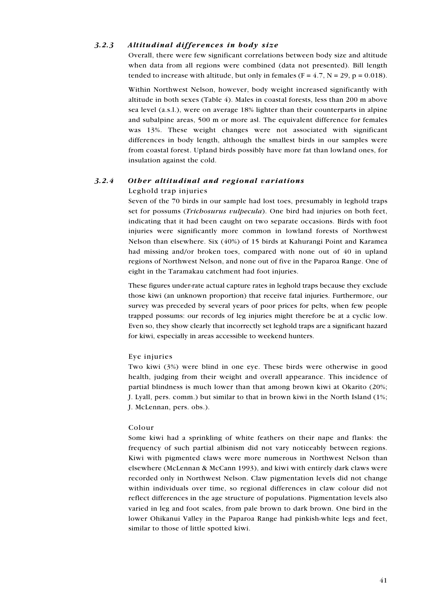## 3.2.3 Altitudinal differences in body size

Overall, there were few significant correlations between body size and altitude when data from all regions were combined (data not presented). Bill length tended to increase with altitude, but only in females ( $F = 4.7$ ,  $N = 29$ ,  $p = 0.018$ ).

Within Northwest Nelson, however, body weight increased significantly with altitude in both sexes (Table 4). Males in coastal forests, less than 200 m above sea level (a.s.l.), were on average 18% lighter than their counterparts in alpine and subalpine areas, 500 m or more asl. The equivalent difference for females was 13%. These weight changes were not associated with significant differences in body length, although the smallest birds in our samples were from coastal forest. Upland birds possibly have more fat than lowland ones, for insulation against the cold.

# 3.2.4 Other altitudinal and regional variations

## Leghold trap injuries

Seven of the 70 birds in our sample had lost toes, presumably in leghold traps set for possums (Trichosurus vulpecula). One bird had injuries on both feet, indicating that it had been caught on two separate occasions. Birds with foot injuries were significantly more common in lowland forests of Northwest Nelson than elsewhere. Six (40%) of 15 birds at Kahurangi Point and Karamea had missing and/or broken toes, compared with none out of 40 in upland regions of Northwest Nelson, and none out of five in the Paparoa Range. One of eight in the Taramakau catchment had foot injuries.

These figures under-rate actual capture rates in leghold traps because they exclude those kiwi (an unknown proportion) that receive fatal injuries. Furthermore, our survey was preceded by several years of poor prices for pelts, when few people trapped possums: our records of leg injuries might therefore be at a cyclic low. Even so, they show clearly that incorrectly set leghold traps are a significant hazard for kiwi, especially in areas accessible to weekend hunters.

## Eye injuries

Two kiwi (3%) were blind in one eye. These birds were otherwise in good health, judging from their weight and overall appearance. This incidence of partial blindness is much lower than that among brown kiwi at Okarito (20%; J. Lyall, pers. comm.) but similar to that in brown kiwi in the North Island (1%; J. McLennan, pers. obs.).

## Colour

Some kiwi had a sprinkling of white feathers on their nape and flanks: the frequency of such partial albinism did not vary noticeably between regions. Kiwi with pigmented claws were more numerous in Northwest Nelson than elsewhere (McLennan & McCann 1993), and kiwi with entirely dark claws were recorded only in Northwest Nelson. Claw pigmentation levels did not change within individuals over time, so regional differences in claw colour did not reflect differences in the age structure of populations. Pigmentation levels also varied in leg and foot scales, from pale brown to dark brown. One bird in the lower Ohikanui Valley in the Paparoa Range had pinkish-white legs and feet, similar to those of little spotted kiwi.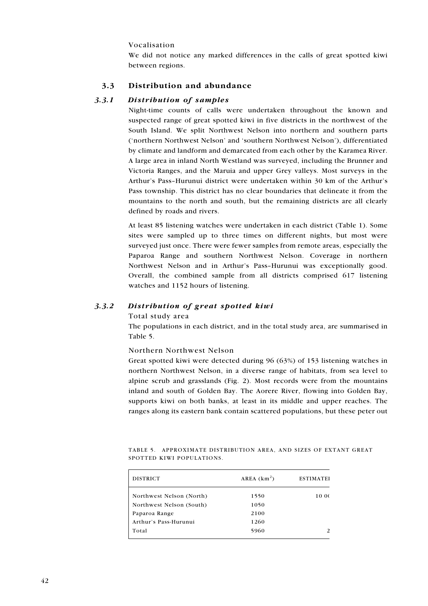## Vocalisation

We did not notice any marked differences in the calls of great spotted kiwi between regions.

# 3.3 Distribution and abundance

## 3.3.1 Distribution of samples

Night-time counts of calls were undertaken throughout the known and suspected range of great spotted kiwi in five districts in the northwest of the South Island. We split Northwest Nelson into northern and southern parts ('northern Northwest Nelson' and 'southern Northwest Nelson'), differentiated by climate and landform and demarcated from each other by the Karamea River. A large area in inland North Westland was surveyed, including the Brunner and Victoria Ranges, and the Maruia and upper Grey valleys. Most surveys in the Arthur's Pass–Hurunui district were undertaken within 30 km of the Arthur's Pass township. This district has no clear boundaries that delineate it from the mountains to the north and south, but the remaining districts are all clearly defined by roads and rivers.

At least 85 listening watches were undertaken in each district (Table 1). Some sites were sampled up to three times on different nights, but most were surveyed just once. There were fewer samples from remote areas, especially the Paparoa Range and southern Northwest Nelson. Coverage in northern Northwest Nelson and in Arthur's Pass–Hurunui was exceptionally good. Overall, the combined sample from all districts comprised 617 listening watches and 1152 hours of listening.

## 3.3.2 Distribution of great spotted kiwi

#### Total study area

The populations in each district, and in the total study area, are summarised in Table 5.

## Northern Northwest Nelson

Great spotted kiwi were detected during 96 (63%) of 153 listening watches in northern Northwest Nelson, in a diverse range of habitats, from sea level to alpine scrub and grasslands (Fig. 2). Most records were from the mountains inland and south of Golden Bay. The Aorere River, flowing into Golden Bay, supports kiwi on both banks, at least in its middle and upper reaches. The ranges along its eastern bank contain scattered populations, but these peter out

| TABLE 5. APPROXIMATE DISTRIBUTION AREA, AND SIZES OF EXTANT GREAT |  |  |  |  |
|-------------------------------------------------------------------|--|--|--|--|
| SPOTTED KIWI POPULATIONS.                                         |  |  |  |  |

| <b>DISTRICT</b>          | $AREA$ ( $km^2$ ) | <b>ESTIMATEI</b> |
|--------------------------|-------------------|------------------|
| Northwest Nelson (North) | 1550              | 10 OC            |
| Northwest Nelson (South) | 1050              |                  |
| Paparoa Range            | 2100              |                  |
| Arthur's Pass-Hurunui    | 1260              |                  |
| Total                    | 5960              |                  |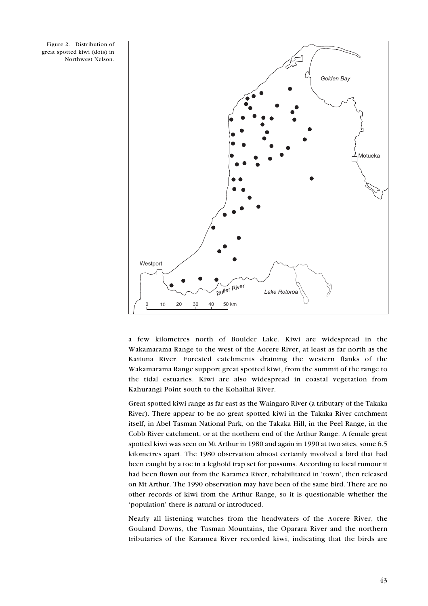

Figure 2. Distribution of great spotted kiwi (dots) in Northwest Nelson.

> a few kilometres north of Boulder Lake. Kiwi are widespread in the Wakamarama Range to the west of the Aorere River, at least as far north as the Kaituna River. Forested catchments draining the western flanks of the Wakamarama Range support great spotted kiwi, from the summit of the range to the tidal estuaries. Kiwi are also widespread in coastal vegetation from Kahurangi Point south to the Kohaihai River.

> Great spotted kiwi range as far east as the Waingaro River (a tributary of the Takaka River). There appear to be no great spotted kiwi in the Takaka River catchment itself, in Abel Tasman National Park, on the Takaka Hill, in the Peel Range, in the Cobb River catchment, or at the northern end of the Arthur Range. A female great spotted kiwi was seen on Mt Arthur in 1980 and again in 1990 at two sites, some 6.5 kilometres apart. The 1980 observation almost certainly involved a bird that had been caught by a toe in a leghold trap set for possums. According to local rumour it had been flown out from the Karamea River, rehabilitated in 'town', then released on Mt Arthur. The 1990 observation may have been of the same bird. There are no other records of kiwi from the Arthur Range, so it is questionable whether the 'population' there is natural or introduced.

> Nearly all listening watches from the headwaters of the Aorere River, the Gouland Downs, the Tasman Mountains, the Oparara River and the northern tributaries of the Karamea River recorded kiwi, indicating that the birds are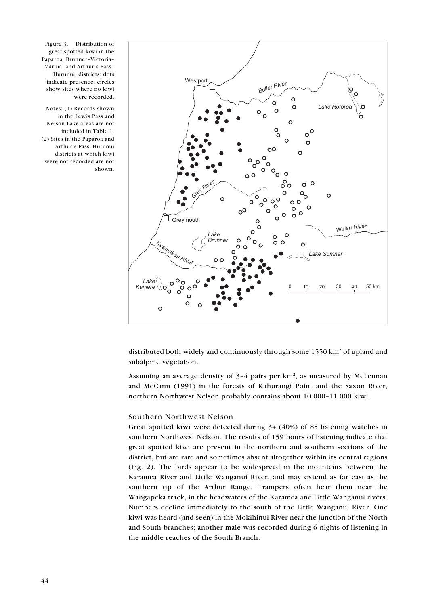

Figure 3. Distribution of great spotted kiwi in the Paparoa, Brunner–Victoria– Maruia and Arthur's Pass– Hurunui districts: dots indicate presence, circles show sites where no kiwi were recorded.

Notes: (1) Records shown in the Lewis Pass and Nelson Lake areas are not included in Table 1. (2) Sites in the Paparoa and Arthur's Pass–Hurunui districts at which kiwi were not recorded are not shown.

> distributed both widely and continuously through some 1550 km $^2$  of upland and subalpine vegetation.

> Assuming an average density of  $3-4$  pairs per km<sup>2</sup>, as measured by McLennan and McCann (1991) in the forests of Kahurangi Point and the Saxon River, northern Northwest Nelson probably contains about 10 000–11 000 kiwi.

#### Southern Northwest Nelson

Great spotted kiwi were detected during 34 (40%) of 85 listening watches in southern Northwest Nelson. The results of 159 hours of listening indicate that great spotted kiwi are present in the northern and southern sections of the district, but are rare and sometimes absent altogether within its central regions (Fig. 2). The birds appear to be widespread in the mountains between the Karamea River and Little Wanganui River, and may extend as far east as the southern tip of the Arthur Range. Trampers often hear them near the Wangapeka track, in the headwaters of the Karamea and Little Wanganui rivers. Numbers decline immediately to the south of the Little Wanganui River. One kiwi was heard (and seen) in the Mokihinui River near the junction of the North and South branches; another male was recorded during 6 nights of listening in the middle reaches of the South Branch.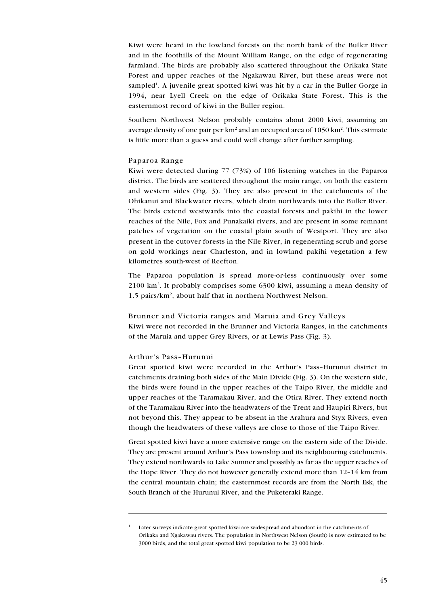Kiwi were heard in the lowland forests on the north bank of the Buller River and in the foothills of the Mount William Range, on the edge of regenerating farmland. The birds are probably also scattered throughout the Orikaka State Forest and upper reaches of the Ngakawau River, but these areas were not sampled<sup>1</sup>. A juvenile great spotted kiwi was hit by a car in the Buller Gorge in 1994, near Lyell Creek on the edge of Orikaka State Forest. This is the easternmost record of kiwi in the Buller region.

Southern Northwest Nelson probably contains about 2000 kiwi, assuming an average density of one pair per km² and an occupied area of 1050 km². This estimate is little more than a guess and could well change after further sampling.

#### Paparoa Range

Kiwi were detected during 77 (73%) of 106 listening watches in the Paparoa district. The birds are scattered throughout the main range, on both the eastern and western sides (Fig. 3). They are also present in the catchments of the Ohikanui and Blackwater rivers, which drain northwards into the Buller River. The birds extend westwards into the coastal forests and pakihi in the lower reaches of the Nile, Fox and Punakaiki rivers, and are present in some remnant patches of vegetation on the coastal plain south of Westport. They are also present in the cutover forests in the Nile River, in regenerating scrub and gorse on gold workings near Charleston, and in lowland pakihi vegetation a few kilometres south-west of Reefton.

The Paparoa population is spread more-or-less continuously over some 2100 km<sup>2</sup> . It probably comprises some 6300 kiwi, assuming a mean density of 1.5 pairs/km<sup>2</sup>, about half that in northern Northwest Nelson.

Brunner and Victoria ranges and Maruia and Grey Valleys Kiwi were not recorded in the Brunner and Victoria Ranges, in the catchments of the Maruia and upper Grey Rivers, or at Lewis Pass (Fig. 3).

#### Arthur's Pass–Hurunui

Great spotted kiwi were recorded in the Arthur's Pass–Hurunui district in catchments draining both sides of the Main Divide (Fig. 3). On the western side, the birds were found in the upper reaches of the Taipo River, the middle and upper reaches of the Taramakau River, and the Otira River. They extend north of the Taramakau River into the headwaters of the Trent and Haupiri Rivers, but not beyond this. They appear to be absent in the Arahura and Styx Rivers, even though the headwaters of these valleys are close to those of the Taipo River.

Great spotted kiwi have a more extensive range on the eastern side of the Divide. They are present around Arthur's Pass township and its neighbouring catchments. They extend northwards to Lake Sumner and possibly as far as the upper reaches of the Hope River. They do not however generally extend more than 12–14 km from the central mountain chain; the easternmost records are from the North Esk, the South Branch of the Hurunui River, and the Puketeraki Range.

<sup>&</sup>lt;sup>1</sup> Later surveys indicate great spotted kiwi are widespread and abundant in the catchments of Orikaka and Ngakawau rivers. The population in Northwest Nelson (South) is now estimated to be 3000 birds, and the total great spotted kiwi population to be 23 000 birds.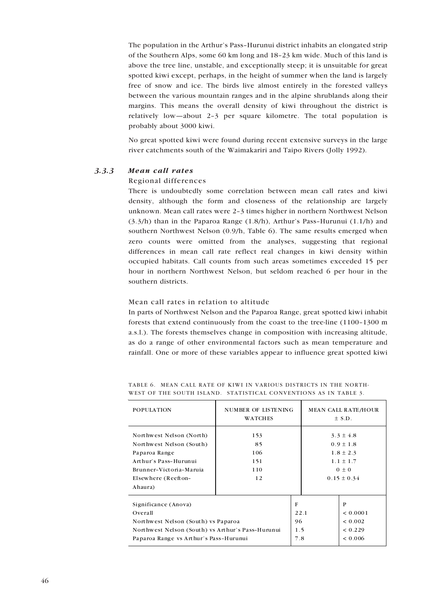The population in the Arthur's Pass-Hurunui district inhabits an elongated strip of the Southern Alps, some 60 km long and 18-23 km wide. Much of this land is above the tree line, unstable, and exceptionally steep; it is unsuitable for great spotted kiwi except, perhaps, in the height of summer when the land is largely free of snow and ice. The birds live almost entirely in the forested valleys between the various mountain ranges and in the alpine shrublands along their margins. This means the overall density of kiwi throughout the district is relatively low-about 2-3 per square kilometre. The total population is probably about 3000 kiwi.

No great spotted kiwi were found during recent extensive surveys in the large river catchments south of the Waimakariri and Taipo Rivers (Jolly 1992).

## *3.3.3 Mean call rates*

## Regional differences

There is undoubtedly some correlation between mean call rates and kiwi density, although the form and closeness of the relationship are largely unknown. Mean call rates were 2-3 times higher in northern Northwest Nelson  $(3.3/h)$  than in the Paparoa Range  $(1.8/h)$ , Arthur's Pass-Hurunui  $(1.1/h)$  and southern Northwest Nelson (0.9/h, Table 6). The same results emerged when zero counts were omitted from the analyses, suggesting that regional differences in mean call rate reflect real changes in kiwi density within occupied habitats. Call counts from such areas sometimes exceeded 15 per hour in northern Northwest Nelson, but seldom reached 6 per hour in the southern districts.

#### Mean call rates in relation to altitude

In parts of Northwest Nelson and the Paparoa Range, great spotted kiwi inhabit forests that extend continuously from the coast to the tree-line  $(1100-1300 \text{ m})$ a.s.l.). The forests themselves change in composition with increasing altitude, as do a range of other environmental factors such as mean temperature and rainfall. One or more of these variables appear to influence great spotted kiwi

| <b>POPULATION</b>                                                                                                                                                     | NUMBER OF LISTENING<br><b>WATCHES</b> |  |                          | <b>MEAN CALL RATE/HOUR</b><br>$\pm$ S.D.                                                         |
|-----------------------------------------------------------------------------------------------------------------------------------------------------------------------|---------------------------------------|--|--------------------------|--------------------------------------------------------------------------------------------------|
| Northwest Nelson (North)<br>Northwest Nelson (South)<br>Paparoa Range<br>Arthur's Pass-Hurunui<br>Brunner-Victoria-Maruia<br>Elsewhere (Reefton-<br>Ahaura)           | 153<br>85<br>106<br>151<br>110<br>12  |  |                          | $3.3 \pm 4.8$<br>$0.9 \pm 1.8$<br>$1.8 \pm 2.3$<br>$1.1 \pm 1.7$<br>$0 \pm 0$<br>$0.15 \pm 0.34$ |
| Significance (Anova)<br>Overall<br>Northwest Nelson (South) vs Paparoa<br>Northwest Nelson (South) vs Arthur's Pass-Hurunui<br>Paparoa Range vs Arthur's Pass-Hurunui |                                       |  | 22.1<br>96<br>1.5<br>7.8 | P<br>< 0.0001<br>${}< 0.002$<br>< 0.229<br>< 0.006                                               |

TABLE 6. MEAN CALL RATE OF KIWI IN VARIOUS DISTRICTS IN THE NORTH-WEST OF THE SOUTH ISLAND. STATISTICAL CONVENTIONS AS IN TABLE 3.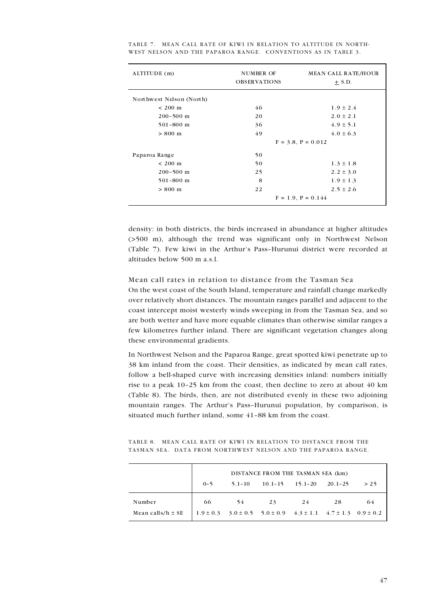| ALTITUDE (m)             | <b>NUMBER OF</b><br><b>OBSERVATIONS</b> | <b>MEAN CALL RATE/HOUR</b><br>$+$ S.D. |
|--------------------------|-----------------------------------------|----------------------------------------|
| Northwest Nelson (North) |                                         |                                        |
| $< 200 \text{ m}$        | 46                                      | $1.9 \pm 2.4$                          |
| $200 - 500$ m            | 20                                      | $2.0 \pm 2.1$                          |
| $501 - 800$ m            | 36                                      | $4.9 \pm 5.1$                          |
| $> 800 \; \text{m}$      | 49                                      | $4.0 \pm 6.3$                          |
|                          |                                         | $F = 3.8$ , $P = 0.012$                |
| Paparoa Range            | 50                                      |                                        |
| $< 200 \text{ m}$        | 50                                      | $1.3 \pm 1.8$                          |
| $200 - 500$ m            | 25                                      | $2.2 \pm 3.0$                          |
| $501 - 800$ m            | 8                                       | $1.9 \pm 1.3$                          |
| $> 800 \; \text{m}$      | 22                                      | $2.5 \pm 2.6$                          |
|                          |                                         | $F = 1.9$ , $P = 0.144$                |

TABLE 7. MEAN CALL RATE OF KIWI IN RELATION TO ALTITUDE IN NORTH-WEST NELSON AND THE PAPAROA RANGE. CONVENTIONS AS IN TABLE 3.

density: in both districts, the birds increased in abundance at higher altitudes (>500 m), although the trend was significant only in Northwest Nelson (Table 7). Few kiwi in the Arthur's Pass-Hurunui district were recorded at altitudes below 500 m a.s.l.

Mean call rates in relation to distance from the Tasman Sea On the west coast of the South Island, temperature and rainfall change markedly over relatively short distances. The mountain ranges parallel and adjacent to the coast intercept moist westerly winds sweeping in from the Tasman Sea, and so are both wetter and have more equable climates than otherwise similar ranges a few kilometres further inland. There are significant vegetation changes along these environmental gradients.

In Northwest Nelson and the Paparoa Range, great spotted kiwi penetrate up to 38 km inland from the coast. Their densities, as indicated by mean call rates, follow a bell-shaped curve with increasing densities inland: numbers initially rise to a peak  $10-25$  km from the coast, then decline to zero at about 40 km (Table 8). The birds, then, are not distributed evenly in these two adjoining mountain ranges. The Arthur's Pass-Hurunui population, by comparison, is situated much further inland, some  $41-88$  km from the coast.

|                                  | DISTANCE FROM THE TASMAN SEA (km) |                                                                                           |                         |    |         |      |  |  |  |
|----------------------------------|-----------------------------------|-------------------------------------------------------------------------------------------|-------------------------|----|---------|------|--|--|--|
|                                  | $0 - 5$                           | $5.1 - 10$                                                                                | $10.1 - 15$ $15.1 - 20$ |    | 20.1-25 | > 25 |  |  |  |
| Number<br>Mean calls/ $h \pm SE$ | 66                                | 54<br>$1.9 \pm 0.3$ $3.0 \pm 0.5$ $5.0 \pm 0.9$ $4.3 \pm 1.1$ $4.7 \pm 1.3$ $0.9 \pm 0.2$ | 23                      | 24 | 28      | 64   |  |  |  |

TABLE 8. MEAN CALL RATE OF KIWI IN RELATION TO DISTANCE FROM THE TASMAN SEA. DATA FROM NORTHWEST NELSON AND THE PAPAROA RANGE.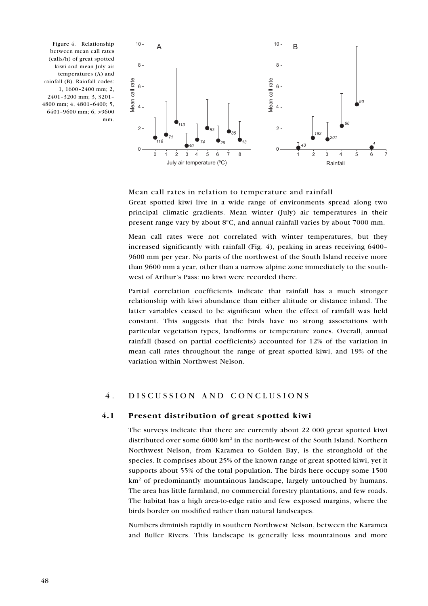Figure 4. Relationship between mean call rates (calls/h) of great spotted kiwi and mean July air temperatures (A) and rainfall (B). Rainfall codes: 1, 1600–2400 mm; 2, 2401–3200 mm; 3, 3201– 4800 mm; 4, 4801–6400; 5, 6401–9600 mm; 6, >9600 mm.



Mean call rates in relation to temperature and rainfall Great spotted kiwi live in a wide range of environments spread along two principal climatic gradients. Mean winter (July) air temperatures in their present range vary by about 8ºC, and annual rainfall varies by about 7000 mm.

Mean call rates were not correlated with winter temperatures, but they increased significantly with rainfall (Fig. 4), peaking in areas receiving 6400– 9600 mm per year. No parts of the northwest of the South Island receive more than 9600 mm a year, other than a narrow alpine zone immediately to the southwest of Arthur's Pass: no kiwi were recorded there.

Partial correlation coefficients indicate that rainfall has a much stronger relationship with kiwi abundance than either altitude or distance inland. The latter variables ceased to be significant when the effect of rainfall was held constant. This suggests that the birds have no strong associations with particular vegetation types, landforms or temperature zones. Overall, annual rainfall (based on partial coefficients) accounted for 12% of the variation in mean call rates throughout the range of great spotted kiwi, and 19% of the variation within Northwest Nelson.

# 4. DISCUSSION AND CONCLUSIONS

# 4.1 Present distribution of great spotted kiwi

The surveys indicate that there are currently about 22 000 great spotted kiwi distributed over some 6000 km<sup>2</sup> in the north-west of the South Island. Northern Northwest Nelson, from Karamea to Golden Bay, is the stronghold of the species. It comprises about 25% of the known range of great spotted kiwi, yet it supports about 55% of the total population. The birds here occupy some 1500 km<sup>2</sup> of predominantly mountainous landscape, largely untouched by humans. The area has little farmland, no commercial forestry plantations, and few roads. The habitat has a high area-to-edge ratio and few exposed margins, where the birds border on modified rather than natural landscapes.

Numbers diminish rapidly in southern Northwest Nelson, between the Karamea and Buller Rivers. This landscape is generally less mountainous and more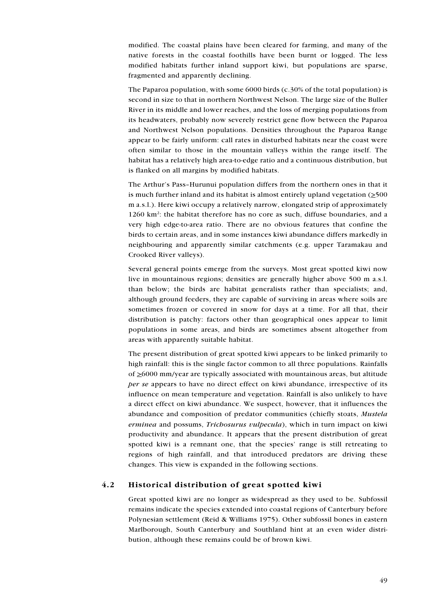modified. The coastal plains have been cleared for farming, and many of the native forests in the coastal foothills have been burnt or logged. The less modified habitats further inland support kiwi, but populations are sparse, fragmented and apparently declining.

The Paparoa population, with some 6000 birds (c.30% of the total population) is second in size to that in northern Northwest Nelson. The large size of the Buller River in its middle and lower reaches, and the loss of merging populations from its headwaters, probably now severely restrict gene flow between the Paparoa and Northwest Nelson populations. Densities throughout the Paparoa Range appear to be fairly uniform: call rates in disturbed habitats near the coast were often similar to those in the mountain valleys within the range itself. The habitat has a relatively high area-to-edge ratio and a continuous distribution, but is flanked on all margins by modified habitats.

The Arthur's Pass–Hurunui population differs from the northern ones in that it is much further inland and its habitat is almost entirely upland vegetation (>500 m a.s.l.). Here kiwi occupy a relatively narrow, elongated strip of approximately 1260 km<sup>2</sup>: the habitat therefore has no core as such, diffuse boundaries, and a very high edge-to-area ratio. There are no obvious features that confine the birds to certain areas, and in some instances kiwi abundance differs markedly in neighbouring and apparently similar catchments (e.g. upper Taramakau and Crooked River valleys).

Several general points emerge from the surveys. Most great spotted kiwi now live in mountainous regions; densities are generally higher above 500 m a.s.l. than below; the birds are habitat generalists rather than specialists; and, although ground feeders, they are capable of surviving in areas where soils are sometimes frozen or covered in snow for days at a time. For all that, their distribution is patchy: factors other than geographical ones appear to limit populations in some areas, and birds are sometimes absent altogether from areas with apparently suitable habitat.

The present distribution of great spotted kiwi appears to be linked primarily to high rainfall: this is the single factor common to all three populations. Rainfalls of  $\geq$ 6000 mm/year are typically associated with mountainous areas, but altitude per se appears to have no direct effect on kiwi abundance, irrespective of its influence on mean temperature and vegetation. Rainfall is also unlikely to have a direct effect on kiwi abundance. We suspect, however, that it influences the abundance and composition of predator communities (chiefly stoats, Mustela erminea and possums, *Trichosurus vulpecula*), which in turn impact on kiwi productivity and abundance. It appears that the present distribution of great spotted kiwi is a remnant one, that the species' range is still retreating to regions of high rainfall, and that introduced predators are driving these changes. This view is expanded in the following sections.

# 4.2 Historical distribution of great spotted kiwi

Great spotted kiwi are no longer as widespread as they used to be. Subfossil remains indicate the species extended into coastal regions of Canterbury before Polynesian settlement (Reid & Williams 1975). Other subfossil bones in eastern Marlborough, South Canterbury and Southland hint at an even wider distribution, although these remains could be of brown kiwi.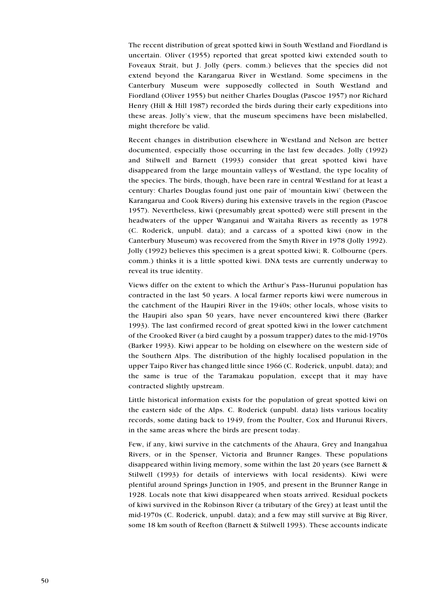The recent distribution of great spotted kiwi in South Westland and Fiordland is uncertain. Oliver (1955) reported that great spotted kiwi extended south to Foveaux Strait, but J. Jolly (pers. comm.) believes that the species did not extend beyond the Karangarua River in Westland. Some specimens in the Canterbury Museum were supposedly collected in South Westland and Fiordland (Oliver 1955) but neither Charles Douglas (Pascoe 1957) nor Richard Henry (Hill & Hill 1987) recorded the birds during their early expeditions into these areas. Jolly's view, that the museum specimens have been mislabelled, might therefore be valid.

Recent changes in distribution elsewhere in Westland and Nelson are better documented, especially those occurring in the last few decades. Jolly (1992) and Stilwell and Barnett (1993) consider that great spotted kiwi have disappeared from the large mountain valleys of Westland, the type locality of the species. The birds, though, have been rare in central Westland for at least a century: Charles Douglas found just one pair of 'mountain kiwi' (between the Karangarua and Cook Rivers) during his extensive travels in the region (Pascoe 1957). Nevertheless, kiwi (presumably great spotted) were still present in the headwaters of the upper Wanganui and Waitaha Rivers as recently as 1978 (C. Roderick, unpubl. data); and a carcass of a spotted kiwi (now in the Canterbury Museum) was recovered from the Smyth River in 1978 (Jolly 1992). Jolly (1992) believes this specimen is a great spotted kiwi; R. Colbourne (pers. comm.) thinks it is a little spotted kiwi. DNA tests are currently underway to reveal its true identity.

Views differ on the extent to which the Arthur's Pass–Hurunui population has contracted in the last 50 years. A local farmer reports kiwi were numerous in the catchment of the Haupiri River in the 1940s; other locals, whose visits to the Haupiri also span 50 years, have never encountered kiwi there (Barker 1993). The last confirmed record of great spotted kiwi in the lower catchment of the Crooked River (a bird caught by a possum trapper) dates to the mid-1970s (Barker 1993). Kiwi appear to be holding on elsewhere on the western side of the Southern Alps. The distribution of the highly localised population in the upper Taipo River has changed little since 1966 (C. Roderick, unpubl. data); and the same is true of the Taramakau population, except that it may have contracted slightly upstream.

Little historical information exists for the population of great spotted kiwi on the eastern side of the Alps. C. Roderick (unpubl. data) lists various locality records, some dating back to 1949, from the Poulter, Cox and Hurunui Rivers, in the same areas where the birds are present today.

Few, if any, kiwi survive in the catchments of the Ahaura, Grey and Inangahua Rivers, or in the Spenser, Victoria and Brunner Ranges. These populations disappeared within living memory, some within the last 20 years (see Barnett & Stilwell (1993) for details of interviews with local residents). Kiwi were plentiful around Springs Junction in 1905, and present in the Brunner Range in 1928. Locals note that kiwi disappeared when stoats arrived. Residual pockets of kiwi survived in the Robinson River (a tributary of the Grey) at least until the mid-1970s (C. Roderick, unpubl. data); and a few may still survive at Big River, some 18 km south of Reefton (Barnett & Stilwell 1993). These accounts indicate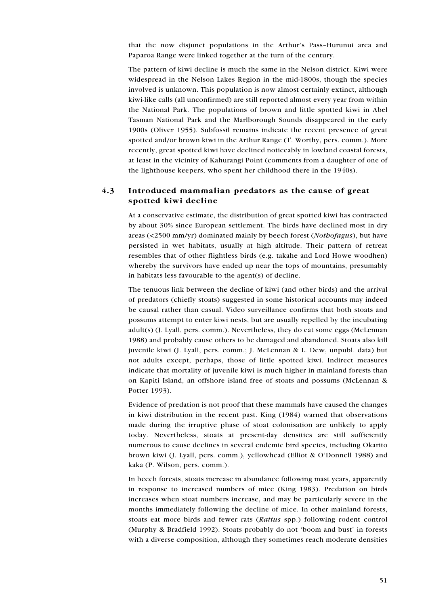that the now disjunct populations in the Arthur's Pass–Hurunui area and Paparoa Range were linked together at the turn of the century.

The pattern of kiwi decline is much the same in the Nelson district. Kiwi were widespread in the Nelson Lakes Region in the mid-1800s, though the species involved is unknown. This population is now almost certainly extinct, although kiwi-like calls (all unconfirmed) are still reported almost every year from within the National Park. The populations of brown and little spotted kiwi in Abel Tasman National Park and the Marlborough Sounds disappeared in the early 1900s (Oliver 1955). Subfossil remains indicate the recent presence of great spotted and/or brown kiwi in the Arthur Range (T. Worthy, pers. comm.). More recently, great spotted kiwi have declined noticeably in lowland coastal forests, at least in the vicinity of Kahurangi Point (comments from a daughter of one of the lighthouse keepers, who spent her childhood there in the 1940s).

# 4.3 Introduced mammalian predators as the cause of great spotted kiwi decline

At a conservative estimate, the distribution of great spotted kiwi has contracted by about 30% since European settlement. The birds have declined most in dry areas (<2500 mm/yr) dominated mainly by beech forest (Nothofagus), but have persisted in wet habitats, usually at high altitude. Their pattern of retreat resembles that of other flightless birds (e.g. takahe and Lord Howe woodhen) whereby the survivors have ended up near the tops of mountains, presumably in habitats less favourable to the agent(s) of decline.

The tenuous link between the decline of kiwi (and other birds) and the arrival of predators (chiefly stoats) suggested in some historical accounts may indeed be causal rather than casual. Video surveillance confirms that both stoats and possums attempt to enter kiwi nests, but are usually repelled by the incubating adult(s) (J. Lyall, pers. comm.). Nevertheless, they do eat some eggs (McLennan 1988) and probably cause others to be damaged and abandoned. Stoats also kill juvenile kiwi (J. Lyall, pers. comm.; J. McLennan & L. Dew, unpubl. data) but not adults except, perhaps, those of little spotted kiwi. Indirect measures indicate that mortality of juvenile kiwi is much higher in mainland forests than on Kapiti Island, an offshore island free of stoats and possums (McLennan & Potter 1993).

Evidence of predation is not proof that these mammals have caused the changes in kiwi distribution in the recent past. King (1984) warned that observations made during the irruptive phase of stoat colonisation are unlikely to apply today. Nevertheless, stoats at present-day densities are still sufficiently numerous to cause declines in several endemic bird species, including Okarito brown kiwi (J. Lyall, pers. comm.), yellowhead (Elliot & O'Donnell 1988) and kaka (P. Wilson, pers. comm.).

In beech forests, stoats increase in abundance following mast years, apparently in response to increased numbers of mice (King 1983). Predation on birds increases when stoat numbers increase, and may be particularly severe in the months immediately following the decline of mice. In other mainland forests, stoats eat more birds and fewer rats (Rattus spp.) following rodent control (Murphy & Bradfield 1992). Stoats probably do not 'boom and bust' in forests with a diverse composition, although they sometimes reach moderate densities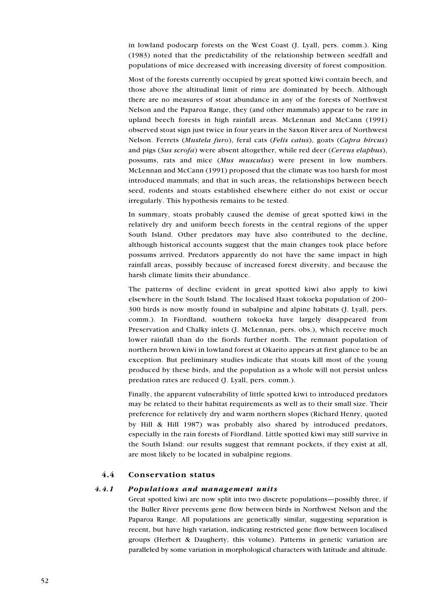in lowland podocarp forests on the West Coast (J. Lyall, pers. comm.). King (1983) noted that the predictability of the relationship between seedfall and populations of mice decreased with increasing diversity of forest composition.

Most of the forests currently occupied by great spotted kiwi contain beech, and those above the altitudinal limit of rimu are dominated by beech. Although there are no measures of stoat abundance in any of the forests of Northwest Nelson and the Paparoa Range, they (and other mammals) appear to be rare in upland beech forests in high rainfall areas. McLennan and McCann (1991) observed stoat sign just twice in four years in the Saxon River area of Northwest Nelson. Ferrets (Mustela furo), feral cats (Felis catus), goats (Capra hircus) and pigs (Sus scrofa) were absent altogether, while red deer (Cervus elaphus), possums, rats and mice (Mus musculus) were present in low numbers. McLennan and McCann (1991) proposed that the climate was too harsh for most introduced mammals; and that in such areas, the relationships between beech seed, rodents and stoats established elsewhere either do not exist or occur irregularly. This hypothesis remains to be tested.

In summary, stoats probably caused the demise of great spotted kiwi in the relatively dry and uniform beech forests in the central regions of the upper South Island. Other predators may have also contributed to the decline, although historical accounts suggest that the main changes took place before possums arrived. Predators apparently do not have the same impact in high rainfall areas, possibly because of increased forest diversity, and because the harsh climate limits their abundance.

The patterns of decline evident in great spotted kiwi also apply to kiwi elsewhere in the South Island. The localised Haast tokoeka population of 200– 300 birds is now mostly found in subalpine and alpine habitats (J. Lyall, pers. comm.). In Fiordland, southern tokoeka have largely disappeared from Preservation and Chalky inlets (J. McLennan, pers. obs.), which receive much lower rainfall than do the fiords further north. The remnant population of northern brown kiwi in lowland forest at Okarito appears at first glance to be an exception. But preliminary studies indicate that stoats kill most of the young produced by these birds, and the population as a whole will not persist unless predation rates are reduced (J. Lyall, pers. comm.).

Finally, the apparent vulnerability of little spotted kiwi to introduced predators may be related to their habitat requirements as well as to their small size. Their preference for relatively dry and warm northern slopes (Richard Henry, quoted by Hill & Hill 1987) was probably also shared by introduced predators, especially in the rain forests of Fiordland. Little spotted kiwi may still survive in the South Island: our results suggest that remnant pockets, if they exist at all, are most likely to be located in subalpine regions.

## 4.4 Conservation status

## 4.4.1 Populations and management units

Great spotted kiwi are now split into two discrete populations—possibly three, if the Buller River prevents gene flow between birds in Northwest Nelson and the Paparoa Range. All populations are genetically similar, suggesting separation is recent, but have high variation, indicating restricted gene flow between localised groups (Herbert & Daugherty, this volume). Patterns in genetic variation are paralleled by some variation in morphological characters with latitude and altitude.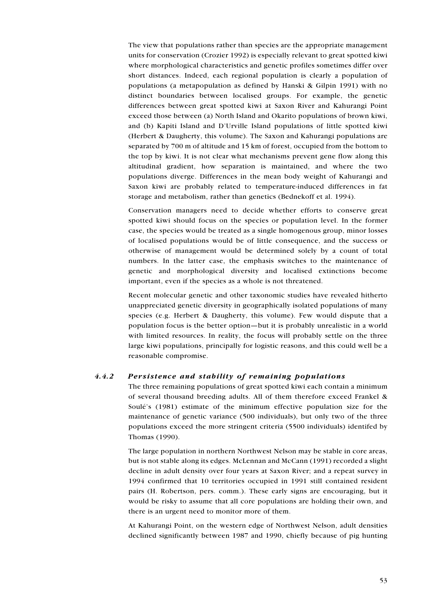The view that populations rather than species are the appropriate management units for conservation (Crozier 1992) is especially relevant to great spotted kiwi where morphological characteristics and genetic profiles sometimes differ over short distances. Indeed, each regional population is clearly a population of populations (a metapopulation as defined by Hanski & Gilpin 1991) with no distinct boundaries between localised groups. For example, the genetic differences between great spotted kiwi at Saxon River and Kahurangi Point exceed those between (a) North Island and Okarito populations of brown kiwi, and (b) Kapiti Island and D'Urville Island populations of little spotted kiwi (Herbert & Daugherty, this volume). The Saxon and Kahurangi populations are separated by 700 m of altitude and 15 km of forest, occupied from the bottom to the top by kiwi. It is not clear what mechanisms prevent gene flow along this altitudinal gradient, how separation is maintained, and where the two populations diverge. Differences in the mean body weight of Kahurangi and Saxon kiwi are probably related to temperature-induced differences in fat storage and metabolism, rather than genetics (Bednekoff et al. 1994).

Conservation managers need to decide whether efforts to conserve great spotted kiwi should focus on the species or population level. In the former case, the species would be treated as a single homogenous group, minor losses of localised populations would be of little consequence, and the success or otherwise of management would be determined solely by a count of total numbers. In the latter case, the emphasis switches to the maintenance of genetic and morphological diversity and localised extinctions become important, even if the species as a whole is not threatened.

Recent molecular genetic and other taxonomic studies have revealed hitherto unappreciated genetic diversity in geographically isolated populations of many species (e.g. Herbert & Daugherty, this volume). Few would dispute that a population focus is the better option—but it is probably unrealistic in a world with limited resources. In reality, the focus will probably settle on the three large kiwi populations, principally for logistic reasons, and this could well be a reasonable compromise.

## 4.4.2 Persistence and stability of remaining populations

The three remaining populations of great spotted kiwi each contain a minimum of several thousand breeding adults. All of them therefore exceed Frankel & Soulé's (1981) estimate of the minimum effective population size for the maintenance of genetic variance (500 individuals), but only two of the three populations exceed the more stringent criteria (5500 individuals) identifed by Thomas (1990).

The large population in northern Northwest Nelson may be stable in core areas, but is not stable along its edges. McLennan and McCann (1991) recorded a slight decline in adult density over four years at Saxon River; and a repeat survey in 1994 confirmed that 10 territories occupied in 1991 still contained resident pairs (H. Robertson, pers. comm.). These early signs are encouraging, but it would be risky to assume that all core populations are holding their own, and there is an urgent need to monitor more of them.

At Kahurangi Point, on the western edge of Northwest Nelson, adult densities declined significantly between 1987 and 1990, chiefly because of pig hunting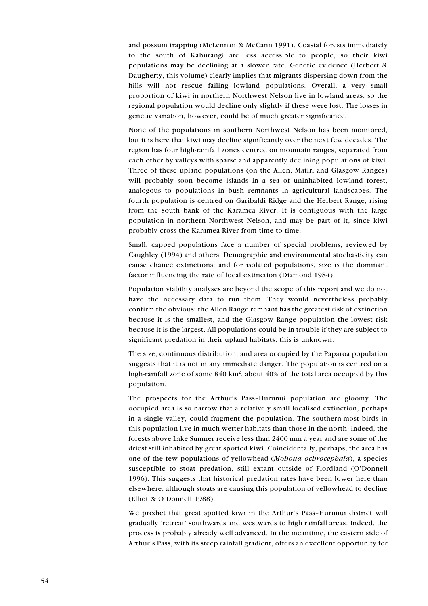and possum trapping (McLennan & McCann 1991). Coastal forests immediately to the south of Kahurangi are less accessible to people, so their kiwi populations may be declining at a slower rate. Genetic evidence (Herbert & Daugherty, this volume) clearly implies that migrants dispersing down from the hills will not rescue failing lowland populations. Overall, a very small proportion of kiwi in northern Northwest Nelson live in lowland areas, so the regional population would decline only slightly if these were lost. The losses in genetic variation, however, could be of much greater significance.

None of the populations in southern Northwest Nelson has been monitored, but it is here that kiwi may decline significantly over the next few decades. The region has four high-rainfall zones centred on mountain ranges, separated from each other by valleys with sparse and apparently declining populations of kiwi. Three of these upland populations (on the Allen, Matiri and Glasgow Ranges) will probably soon become islands in a sea of uninhabited lowland forest, analogous to populations in bush remnants in agricultural landscapes. The fourth population is centred on Garibaldi Ridge and the Herbert Range, rising from the south bank of the Karamea River. It is contiguous with the large population in northern Northwest Nelson, and may be part of it, since kiwi probably cross the Karamea River from time to time.

Small, capped populations face a number of special problems, reviewed by Caughley (1994) and others. Demographic and environmental stochasticity can cause chance extinctions; and for isolated populations, size is the dominant factor influencing the rate of local extinction (Diamond 1984).

Population viability analyses are beyond the scope of this report and we do not have the necessary data to run them. They would nevertheless probably confirm the obvious: the Allen Range remnant has the greatest risk of extinction because it is the smallest, and the Glasgow Range population the lowest risk because it is the largest. All populations could be in trouble if they are subject to significant predation in their upland habitats: this is unknown.

The size, continuous distribution, and area occupied by the Paparoa population suggests that it is not in any immediate danger. The population is centred on a high-rainfall zone of some  $840 \text{ km}^2$ , about  $40\%$  of the total area occupied by this population.

The prospects for the Arthur's Pass–Hurunui population are gloomy. The occupied area is so narrow that a relatively small localised extinction, perhaps in a single valley, could fragment the population. The southern-most birds in this population live in much wetter habitats than those in the north: indeed, the forests above Lake Sumner receive less than 2400 mm a year and are some of the driest still inhabited by great spotted kiwi. Coincidentally, perhaps, the area has one of the few populations of yellowhead (Mohoua ochrocephala), a species susceptible to stoat predation, still extant outside of Fiordland (O'Donnell 1996). This suggests that historical predation rates have been lower here than elsewhere, although stoats are causing this population of yellowhead to decline (Elliot & O'Donnell 1988).

We predict that great spotted kiwi in the Arthur's Pass–Hurunui district will gradually 'retreat' southwards and westwards to high rainfall areas. Indeed, the process is probably already well advanced. In the meantime, the eastern side of Arthur's Pass, with its steep rainfall gradient, offers an excellent opportunity for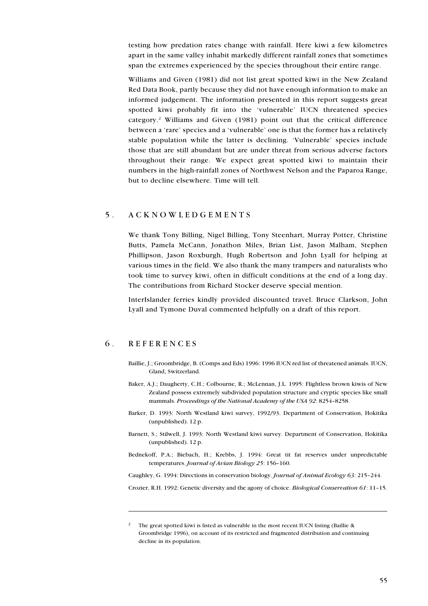testing how predation rates change with rainfall. Here kiwi a few kilometres apart in the same valley inhabit markedly different rainfall zones that sometimes span the extremes experienced by the species throughout their entire range.

Williams and Given (1981) did not list great spotted kiwi in the New Zealand Red Data Book, partly because they did not have enough information to make an informed judgement. The information presented in this report suggests great spotted kiwi probably fit into the 'vulnerable' IUCN threatened species category.<sup>2</sup> Williams and Given (1981) point out that the critical difference between a 'rare' species and a 'vulnerable' one is that the former has a relatively stable population while the latter is declining. 'Vulnerable' species include those that are still abundant but are under threat from serious adverse factors throughout their range. We expect great spotted kiwi to maintain their numbers in the high-rainfall zones of Northwest Nelson and the Paparoa Range, but to decline elsewhere. Time will tell.

## 5. ACKNOWLEDGEMENTS

We thank Tony Billing, Nigel Billing, Tony Steenhart, Murray Potter, Christine Butts, Pamela McCann, Jonathon Miles, Brian List, Jason Malham, Stephen Phillipson, Jason Roxburgh, Hugh Robertson and John Lyall for helping at various times in the field. We also thank the many trampers and naturalists who took time to survey kiwi, often in difficult conditions at the end of a long day. The contributions from Richard Stocker deserve special mention.

InterIslander ferries kindly provided discounted travel. Bruce Clarkson, John Lyall and Tymone Duval commented helpfully on a draft of this report.

# 6. REFERENCES

- Baillie, J.; Groombridge, B. (Comps and Eds) 1996: 1996 IUCN red list of threatened animals. IUCN, Gland, Switzerland.
- Baker, A.J.; Daugherty, C.H.; Colbourne, R.; McLennan, J.L. 1995: Flightless brown kiwis of New Zealand possess extremely subdivided population structure and cryptic species like small mammals. Proceedings of the National Academy of the USA 92: 8254–8258.
- Barker, D. 1993: North Westland kiwi survey, 1992/93. Department of Conservation, Hokitika (unpublished). 12 p.
- Barnett, S.; Stilwell, J. 1993: North Westland kiwi survey. Department of Conservation, Hokitika (unpublished). 12 p.
- Bednekoff, P.A.; Biebach, H.; Krebbs, J. 1994: Great tit fat reserves under unpredictable temperatures. Journal of Avian Biology 25: 156–160.

Caughley, G. 1994: Directions in conservation biology. Journal of Animal Ecology 63: 215–244.

Crozier, R.H. 1992: Genetic diversity and the agony of choice. Biological Conservation 61: 11–15.

<sup>&</sup>lt;sup>2</sup> The great spotted kiwi is listed as vulnerable in the most recent IUCN listing (Baillie & Groombridge 1996), on account of its restricted and fragmented distribution and continuing decline in its population.